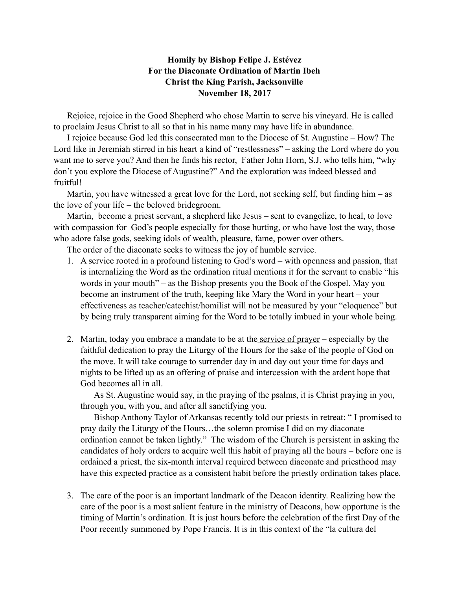## **Homily by Bishop Felipe J. Estévez For the Diaconate Ordination of Martin Ibeh Christ the King Parish, Jacksonville November 18, 2017**

Rejoice, rejoice in the Good Shepherd who chose Martin to serve his vineyard. He is called to proclaim Jesus Christ to all so that in his name many may have life in abundance.

I rejoice because God led this consecrated man to the Diocese of St. Augustine – How? The Lord like in Jeremiah stirred in his heart a kind of "restlessness" – asking the Lord where do you want me to serve you? And then he finds his rector, Father John Horn, S.J. who tells him, "why don't you explore the Diocese of Augustine?" And the exploration was indeed blessed and fruitful!

Martin, you have witnessed a great love for the Lord, not seeking self, but finding him – as the love of your life – the beloved bridegroom.

Martin, become a priest servant, a shepherd like Jesus – sent to evangelize, to heal, to love with compassion for God's people especially for those hurting, or who have lost the way, those who adore false gods, seeking idols of wealth, pleasure, fame, power over others.

The order of the diaconate seeks to witness the joy of humble service.

- 1. A service rooted in a profound listening to God's word with openness and passion, that is internalizing the Word as the ordination ritual mentions it for the servant to enable "his words in your mouth" – as the Bishop presents you the Book of the Gospel. May you become an instrument of the truth, keeping like Mary the Word in your heart – your effectiveness as teacher/catechist/homilist will not be measured by your "eloquence" but by being truly transparent aiming for the Word to be totally imbued in your whole being.
- 2. Martin, today you embrace a mandate to be at the service of prayer especially by the faithful dedication to pray the Liturgy of the Hours for the sake of the people of God on the move. It will take courage to surrender day in and day out your time for days and nights to be lifted up as an offering of praise and intercession with the ardent hope that God becomes all in all.

As St. Augustine would say, in the praying of the psalms, it is Christ praying in you, through you, with you, and after all sanctifying you.

Bishop Anthony Taylor of Arkansas recently told our priests in retreat: " I promised to pray daily the Liturgy of the Hours…the solemn promise I did on my diaconate ordination cannot be taken lightly." The wisdom of the Church is persistent in asking the candidates of holy orders to acquire well this habit of praying all the hours – before one is ordained a priest, the six-month interval required between diaconate and priesthood may have this expected practice as a consistent habit before the priestly ordination takes place.

3. The care of the poor is an important landmark of the Deacon identity. Realizing how the care of the poor is a most salient feature in the ministry of Deacons, how opportune is the timing of Martin's ordination. It is just hours before the celebration of the first Day of the Poor recently summoned by Pope Francis. It is in this context of the "la cultura del